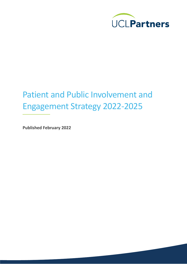

# Patient and Public Involvement and Engagement Strategy 2022-2025

**Published February 2022**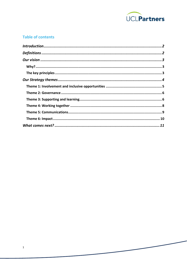

#### **Table of contents**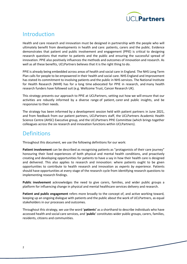

## <span id="page-2-0"></span>Introduction

Health and care research and innovation must be designed in partnership with the people who will ultimately benefit from developments in health and care: patients, carers and the public. Evidence demonstrates that patient and public involvement and engagement (PPIE) is critical to designing research questions that matter to patients and the public and ensuring the successful spread of innovation. PPIE also positively influences the methods and outcomes of innovation and research. As well as all these benefits, UCLPartners believes that it is the right thing to do.

PPIE is already being embedded across areas of health and social care in England. The NHS Long Term Plan calls for people to be empowered in their health and social care. NHS England and Improvement has stated its commitment to involving patients and the public in NHS services. The National Institute for Health Research (NIHR) has for a long time advocated for PPIE in research, and many health research funders have followed suit (e.g. Wellcome Trust, Cancer Research UK).

This strategy presents our approach to PPIE at UCLPartners, setting out how we will ensure that our activities are robustly informed by a diverse range of patient, carer and public insights, and be responsive to their needs.

The strategy has been informed by a development session held with patient partners in June 2021, and from feedback from our patient partners, UCLPartners staff, the UCLPartners Academic Health Science Centre (AHSC) Executive group, and the UCLPartners PPIE Committee (which brings together colleagues across the six research and innovation functions within UCLPartners).

## <span id="page-2-1"></span>**Definitions**

Throughout this document, we use the following definitions for our work:

**Patient involvement** can be described as recognising patients as "protagonists of their care journey" honouring their lived experiences of both physical and mental health conditions, and proactively creating and developing opportunities for patients to have a say in how their health care is designed and delivered. This also applies to research and innovation: where patients ought to be given opportunities to contribute to health research and innovation as *experts by experience.* Patients should have opportunities at every stage of the research cycle from identifying research questions to implementing research findings.

**Public involvement** acknowledges the need to give carers, families, and wider public groups a platform for influencing change in physical and mental healthcare services delivery and research.

**Patient and public engagement** refers more broadly to the concept of, and active working toward, keeping up an ongoing dialogue with patients and the public about the work of UCLPartners, as equal stakeholders in our processes and outcomes.

Throughout this strategy, we use the word '**patients'** as a shorthand to describe individuals who have accessed health and social care services, and '**public**' constitutes wider public groups, carers, families, residents, citizens and communities.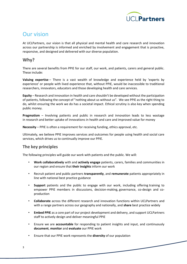

# <span id="page-3-0"></span>Our vision

At UCLPartners, our vision is that all physical and mental health and care research and innovation across our partnership is informed and enriched by involvement and engagement that is proactive, responsive, and designed and delivered with our diverse population.

#### <span id="page-3-1"></span>**Why?**

There are several benefits from PPIE for our staff, our work, and patients, carers and general public. These include:

**Valuing expertise** – There is a vast wealth of knowledge and experience held by 'experts by experience' or people with lived experience that, without PPIE, would be inaccessible to traditional researchers, innovators, educators and those developing health and care services.

**Equity** – Research and innovation in health and care shouldn't be developed without the participation of patients, following the concept of "nothing about us without us". We see PPIE as the right thing to do, whilst ensuring the work we do has a societal impact. Ethical scrutiny is also key when spending public money.

**Pragmatism** – Involving patients and public in research and innovation leads to less wastage in research and better uptake of innovations in health and care and improved value for money

**Necessity** – PPIE is often a requirement for receiving funding, ethics approval, etc.

Ultimately, we believe PPIE improves services and outcomes for people using health and social care services, which drives us to continually improve our PPIE.

#### **The key principles**

The following principles will guide our work with patients and the public. We will:

- <span id="page-3-2"></span>• **Work collaboratively** with and **actively engage** patients, carers, families and communities in our region and ensure that **their insights** inform our work
- Recruit patient and public partners **transparently**, and **remunerate** patients appropriately in line with national best practice guidance
- **Support** patients and the public to engage with our work, including offering training to empower PPIE members in discussions, decision-making, governance, co-design and coproduction
- **Collaborate** across the different research and innovation functions within UCLPartners and with a range partners across our geography and nationally, and **share** best practice widely
- **Embed PPIE** as a core part of our project development and delivery, and support UCLPartners staff to actively design and deliver meaningful PPIE
- Ensure we are **accountable** for responding to patient insights and input, and continuously **document**, **monitor** and **evaluate** our PPIE work
- Ensure that our PPIE work represents the **diversity** of our population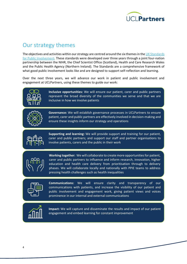

# <span id="page-4-0"></span>Our strategy themes

The objectives and activities within our strategy are centred around the six themes in the UK Standards [for Public Involvement.](https://sites.google.com/nihr.ac.uk/pi-standards/home) These standards were developed over three years through a joint four-nation partnership between the NIHR, the Chief Scientist Office (Scotland), Health and Care Research Wales and the Public Health Agency (Northern Ireland). The Standards are a comprehensive framework of what good public involvement looks like and are designed to support self-reflection and learning.

Over the next three years, we will advance our work in patient and public involvement and engagement at UCLPartners, using these themes to guide our work:



**Inclusive opportunities:** We will ensure our patient, carer and public partners represent the broad diversity of the communities we serve and that we are inclusive in how we involve patients



**Governance:** We will establish governance processes in UCLPartners to ensure patient, carer and public partners are effectively involved in decision-making and ensure these insights inform our strategy and operations



**Supporting and learning:** We will provide support and training for our patient, carer and public partners; and support our staff and partner organisations to involve patients, carers and the public in their work



**Working together:** We will collaborate to create more opportunities for patient, carer and public partners to influence and inform research, innovation, higher education and health care delivery from prioritisation through to delivery phases. We will collaborate locally and nationally with PPIE teams to address pressing health challenges such as health inequalities



**Communications:** We will ensure clarity and transparency of our communications with patients, and increase the visibility of our patient and public involvement and engagement work, giving patient views and voices prominence in our internal and external communications



**Impact:** We will capture and disseminate the results and impact of our patient engagement and embed learning for constant improvement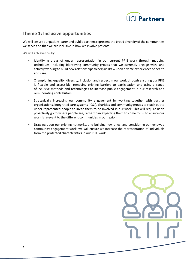

#### <span id="page-5-0"></span>**Theme 1: Inclusive opportunities**

We will ensure our patient, carer and public partners represent the broad diversity of the communities we serve and that we are inclusive in how we involve patients.

We will achieve this by:

- Identifying areas of under representation in our current PPIE work through mapping techniques, including identifying community groups that we currently engage with, and actively working to build new relationships to help us draw upon diverse experiences of health and care.
- Championing equality, diversity, inclusion and respect in our work through ensuring our PPIE is flexible and accessible, removing existing barriers to participation and using a range of inclusive methods and technologies to increase public engagement in our research and remunerating contributors.
- Strategically increasing our community engagement by working together with partner organisations, integrated care systems (ICSs), charities and community groups to reach out to under-represented people to invite them to be involved in our work. This will require us to proactively go to where people are, rather than expecting them to come to us, to ensure our work is relevant to the different communities in our region.
- Drawing upon our existing networks, and building new ones, and considering our renewed community engagement work, we will ensure we increase the representation of individuals from the protected characteristics in our PPIE work

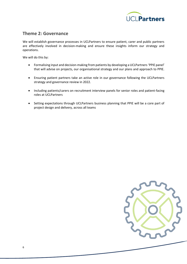

#### <span id="page-6-0"></span>**Theme 2: Governance**

We will establish governance processes in UCLPartners to ensure patient, carer and public partners are effectively involved in decision-making and ensure these insights inform our strategy and operations.

- Formalising input and decision-making from patients by developing a UCLPartners 'PPIE panel' that will advise on projects, our organisational strategy and our plans and approach to PPIE.
- Ensuring patient partners take an active role in our governance following the UCLPartners strategy and governance review in 2022.
- Including patients/carers on recruitment interview panels for senior roles and patient-facing roles at UCLPartners
- <span id="page-6-1"></span>• Setting expectations through UCLPartners business planning that PPIE will be a core part of project design and delivery, across all teams

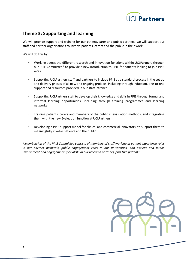

#### **Theme 3: Supporting and learning**

We will provide support and training for our patient, carer and public partners; we will support our staff and partner organisations to involve patients, carers and the public in their work.

We will do this by:

- Working across the different research and innovation functions within UCLPartners through our PPIE Committee\* to provide a new introduction to PPIE for patients looking to join PPIE work
- Supporting UCLPartners staff and partners to include PPIE as a standard process in the set up and delivery phases of all new and ongoing projects, including through induction, one-to-one support and resources provided in our staff intranet
- Supporting UCLPartners staff to develop their knowledge and skills in PPIE through formal and informal learning opportunities, including through training programmes and learning networks
- Training patients, carers and members of the public in evaluation methods, and integrating them with the new Evaluation function at UCLPartners
- Developing a PPIE support model for clinical and commercial innovators, to support them to meaningfully involve patients and the public

*\*Membership of the PPIE Committee consists of members of staff working in patient experience roles in our partner hospitals, public engagement roles in our universities, and patient and public involvement and engagement specialists in our research partners, plus two patients*

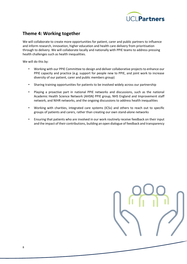

#### <span id="page-8-0"></span>**Theme 4: Working together**

We will collaborate to create more opportunities for patient, carer and public partners to influence and inform research, innovation, higher education and health care delivery from prioritisation through to delivery. We will collaborate locally and nationally with PPIE teams to address pressing health challenges such as health inequalities.

- Working with our PPIE Committee to design and deliver collaborative projects to enhance our PPIE capacity and practice (e.g. support for people new to PPIE, and joint work to increase diversity of our patient, carer and public members group)
- Sharing training opportunities for patients to be involved widely across our partnership
- Playing a proactive part in national PPIE networks and discussions, such as the national Academic Health Science Network (AHSN) PPIE group, NHS England and Improvement staff network, and NIHR networks, and the ongoing discussions to address health inequalities
- Working with charities, integrated care systems (ICSs) and others to reach out to specific groups of patients and carers, rather than creating our own stand-alone networks
- Ensuring that patients who are involved in our work routinely receive feedback on their input and the impact of their contributions, building an open dialogue of feedback and transparency

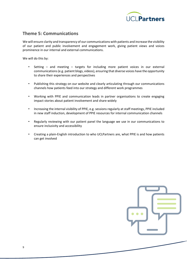

#### <span id="page-9-0"></span>**Theme 5: Communications**

We will ensure clarity and transparency of our communications with patients and increase the visibility of our patient and public involvement and engagement work, giving patient views and voices prominence in our internal and external communications.

- Setting and meeting targets for including more patient voices in our external communications (e.g. patient blogs, videos), ensuring that diverse voices have the opportunity to share their experiences and perspectives
- Publishing this strategy on our website and clearly articulating through our communications channels how patients feed into our strategy and different work programmes
- Working with PPIE and communication leads in partner organisations to create engaging impact stories about patient involvement and share widely
- Increasing the internal visibility of PPIE, e.g. sessions regularly at staff meetings, PPIE included in new staff induction, development of PPIE resources for internal communication channels
- Regularly reviewing with our patient panel the language we use in our communications to ensure inclusivity and accessibility
- Creating a plain-English introduction to who UCLPartners are, what PPIE is and how patients can get involved

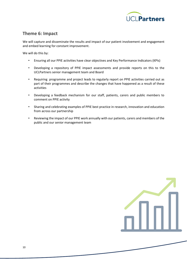

#### <span id="page-10-0"></span>**Theme 6: Impact**

We will capture and disseminate the results and impact of our patient involvement and engagement and embed learning for constant improvement.

- Ensuring all our PPIE activities have clear objectives and Key Performance Indicators (KPIs)
- Developing a repository of PPIE impact assessments and provide reports on this to the UCLPartners senior management team and Board
- Requiring programme and project leads to regularly report on PPIE activities carried out as part of their programmes and describe the changes that have happened as a result of these activities
- Developing a feedback mechanism for our staff, patients, carers and public members to comment on PPIE activity
- Sharing and celebrating examples of PPIE best practice in research, innovation and education from across our partnership
- Reviewing the impact of our PPIE work annually with our patients, carers and members of the public and our senior management team